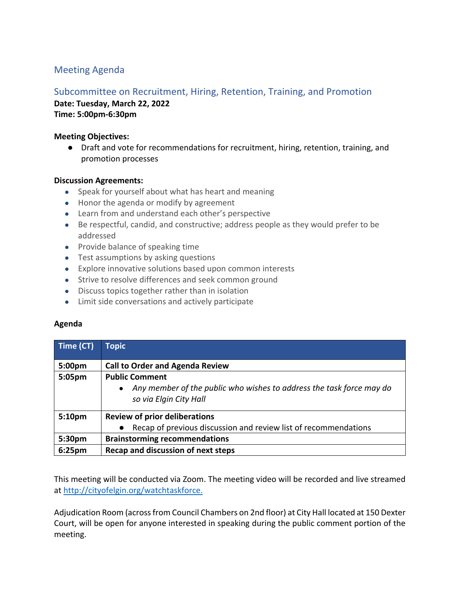# Meeting Agenda

## Subcommittee on Recruitment, Hiring, Retention, Training, and Promotion

**Date: Tuesday, March 22, 2022 Time: 5:00pm-6:30pm**

### **Meeting Objectives:**

● Draft and vote for recommendations for recruitment, hiring, retention, training, and promotion processes

### **Discussion Agreements:**

- Speak for yourself about what has heart and meaning
- Honor the agenda or modify by agreement
- Learn from and understand each other's perspective
- Be respectful, candid, and constructive; address people as they would prefer to be addressed
- Provide balance of speaking time
- Test assumptions by asking questions
- Explore innovative solutions based upon common interests
- Strive to resolve differences and seek common ground
- Discuss topics together rather than in isolation
- Limit side conversations and actively participate

### **Agenda**

| Time (CT)          | <b>Topic</b>                                                                                                                         |
|--------------------|--------------------------------------------------------------------------------------------------------------------------------------|
| 5:00 <sub>pm</sub> | <b>Call to Order and Agenda Review</b>                                                                                               |
| 5:05pm             | <b>Public Comment</b><br>Any member of the public who wishes to address the task force may do<br>$\bullet$<br>so via Elgin City Hall |
| 5:10pm             | <b>Review of prior deliberations</b><br>Recap of previous discussion and review list of recommendations<br>$\bullet$                 |
| 5:30pm             | <b>Brainstorming recommendations</b>                                                                                                 |
| 6:25 <sub>pm</sub> | Recap and discussion of next steps                                                                                                   |

This meeting will be conducted via Zoom. The meeting video will be recorded and live streamed at http://cityofelgin.org/watchtaskforce.

Adjudication Room (across from Council Chambers on 2nd floor) at City Hall located at 150 Dexter Court, will be open for anyone interested in speaking during the public comment portion of the meeting.